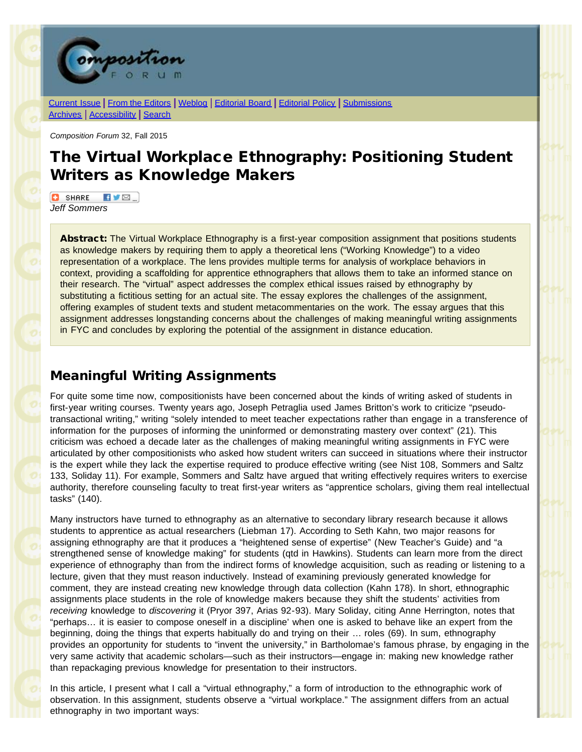

[Current Issue](http://compositionforum.com/issue/32/) | From the [Editors](http://compositionforum.com/issue/32/from-the-editors.php) | [Weblog](http://compositionforum.com/blog/) | [Editorial](http://compositionforum.com/editorial-policy.php) Board | Editorial Policy | [Submissions](http://compositionforum.com/submissions.php) [Archives](http://compositionforum.com/archives.php) | [Accessibility](http://compositionforum.com/accessibility.php) | [Search](http://compositionforum.com/search.php)

*Composition Forum* 32, Fall 2015

# The Virtual Workplace Ethnography: Positioning Student Writers as Knowledge Makers

**C** SHARE  $\blacksquare$ *Jeff Sommers*

Abstract: The Virtual Workplace Ethnography is a first-year composition assignment that positions students as knowledge makers by requiring them to apply a theoretical lens ("Working Knowledge") to a video representation of a workplace. The lens provides multiple terms for analysis of workplace behaviors in context, providing a scaffolding for apprentice ethnographers that allows them to take an informed stance on their research. The "virtual" aspect addresses the complex ethical issues raised by ethnography by substituting a fictitious setting for an actual site. The essay explores the challenges of the assignment, offering examples of student texts and student metacommentaries on the work. The essay argues that this assignment addresses longstanding concerns about the challenges of making meaningful writing assignments in FYC and concludes by exploring the potential of the assignment in distance education.

## Meaningful Writing Assignments

For quite some time now, compositionists have been concerned about the kinds of writing asked of students in first-year writing courses. Twenty years ago, Joseph Petraglia used James Britton's work to criticize "pseudotransactional writing," writing "solely intended to meet teacher expectations rather than engage in a transference of information for the purposes of informing the uninformed or demonstrating mastery over context" (21). This criticism was echoed a decade later as the challenges of making meaningful writing assignments in FYC were articulated by other compositionists who asked how student writers can succeed in situations where their instructor is the expert while they lack the expertise required to produce effective writing (see Nist 108, Sommers and Saltz 133, Soliday 11). For example, Sommers and Saltz have argued that writing effectively requires writers to exercise authority, therefore counseling faculty to treat first-year writers as "apprentice scholars, giving them real intellectual tasks" (140).

Many instructors have turned to ethnography as an alternative to secondary library research because it allows students to apprentice as actual researchers (Liebman 17). According to Seth Kahn, two major reasons for assigning ethnography are that it produces a "heightened sense of expertise" (New Teacher's Guide) and "a strengthened sense of knowledge making" for students (qtd in Hawkins). Students can learn more from the direct experience of ethnography than from the indirect forms of knowledge acquisition, such as reading or listening to a lecture, given that they must reason inductively. Instead of examining previously generated knowledge for comment, they are instead creating new knowledge through data collection (Kahn 178). In short, ethnographic assignments place students in the role of knowledge makers because they shift the students' activities from *receiving* knowledge to *discovering* it (Pryor 397, Arias 92-93). Mary Soliday, citing Anne Herrington, notes that "perhaps… it is easier to compose oneself in a discipline' when one is asked to behave like an expert from the beginning, doing the things that experts habitually do and trying on their … roles (69). In sum, ethnography provides an opportunity for students to "invent the university," in Bartholomae's famous phrase, by engaging in the very same activity that academic scholars—such as their instructors—engage in: making new knowledge rather than repackaging previous knowledge for presentation to their instructors.

In this article, I present what I call a "virtual ethnography," a form of introduction to the ethnographic work of observation. In this assignment, students observe a "virtual workplace." The assignment differs from an actual ethnography in two important ways: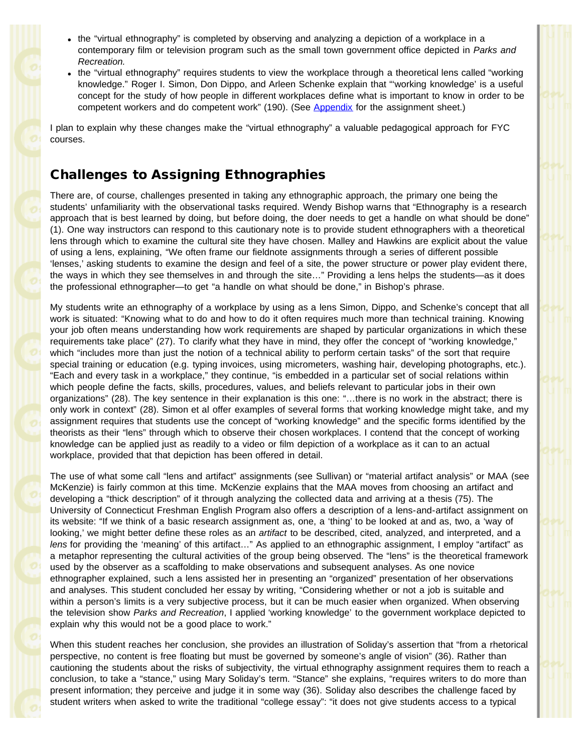- the "virtual ethnography" is completed by observing and analyzing a depiction of a workplace in a contemporary film or television program such as the small town government office depicted in *Parks and Recreation.*
- the "virtual ethnography" requires students to view the workplace through a theoretical lens called "working knowledge." Roger I. Simon, Don Dippo, and Arleen Schenke explain that "'working knowledge' is a useful concept for the study of how people in different workplaces define what is important to know in order to be competent workers and do competent work" (190). (See Appendix for the assignment sheet.)

I plan to explain why these changes make the "virtual ethnography" a valuable pedagogical approach for FYC courses.

## Challenges to Assigning Ethnographies

There are, of course, challenges presented in taking any ethnographic approach, the primary one being the students' unfamiliarity with the observational tasks required. Wendy Bishop warns that "Ethnography is a research approach that is best learned by doing, but before doing, the doer needs to get a handle on what should be done" (1). One way instructors can respond to this cautionary note is to provide student ethnographers with a theoretical lens through which to examine the cultural site they have chosen. Malley and Hawkins are explicit about the value of using a lens, explaining, "We often frame our fieldnote assignments through a series of different possible 'lenses,' asking students to examine the design and feel of a site, the power structure or power play evident there, the ways in which they see themselves in and through the site…" Providing a lens helps the students—as it does the professional ethnographer—to get "a handle on what should be done," in Bishop's phrase.

My students write an ethnography of a workplace by using as a lens Simon, Dippo, and Schenke's concept that all work is situated: "Knowing what to do and how to do it often requires much more than technical training. Knowing your job often means understanding how work requirements are shaped by particular organizations in which these requirements take place" (27). To clarify what they have in mind, they offer the concept of "working knowledge," which "includes more than just the notion of a technical ability to perform certain tasks" of the sort that require special training or education (e.g. typing invoices, using micrometers, washing hair, developing photographs, etc.). "Each and every task in a workplace," they continue, "is embedded in a particular set of social relations within which people define the facts, skills, procedures, values, and beliefs relevant to particular jobs in their own organizations" (28). The key sentence in their explanation is this one: "…there is no work in the abstract; there is only work in context" (28). Simon et al offer examples of several forms that working knowledge might take, and my assignment requires that students use the concept of "working knowledge" and the specific forms identified by the theorists as their "lens" through which to observe their chosen workplaces. I contend that the concept of working knowledge can be applied just as readily to a video or film depiction of a workplace as it can to an actual workplace, provided that that depiction has been offered in detail.

The use of what some call "lens and artifact" assignments (see Sullivan) or "material artifact analysis" or MAA (see McKenzie) is fairly common at this time. McKenzie explains that the MAA moves from choosing an artifact and developing a "thick description" of it through analyzing the collected data and arriving at a thesis (75). The University of Connecticut Freshman English Program also offers a description of a lens-and-artifact assignment on its website: "If we think of a basic research assignment as, one, a 'thing' to be looked at and as, two, a 'way of looking,' we might better define these roles as an *artifact* to be described, cited, analyzed, and interpreted, and a *lens* for providing the 'meaning' of this artifact…" As applied to an ethnographic assignment, I employ "artifact" as a metaphor representing the cultural activities of the group being observed. The "lens" is the theoretical framework used by the observer as a scaffolding to make observations and subsequent analyses. As one novice ethnographer explained, such a lens assisted her in presenting an "organized" presentation of her observations and analyses. This student concluded her essay by writing, "Considering whether or not a job is suitable and within a person's limits is a very subjective process, but it can be much easier when organized. When observing the television show *Parks and Recreation*, I applied 'working knowledge' to the government workplace depicted to explain why this would not be a good place to work."

When this student reaches her conclusion, she provides an illustration of Soliday's assertion that "from a rhetorical perspective, no content is free floating but must be governed by someone's angle of vision" (36). Rather than cautioning the students about the risks of subjectivity, the virtual ethnography assignment requires them to reach a conclusion, to take a "stance," using Mary Soliday's term. "Stance" she explains, "requires writers to do more than present information; they perceive and judge it in some way (36). Soliday also describes the challenge faced by student writers when asked to write the traditional "college essay": "it does not give students access to a typical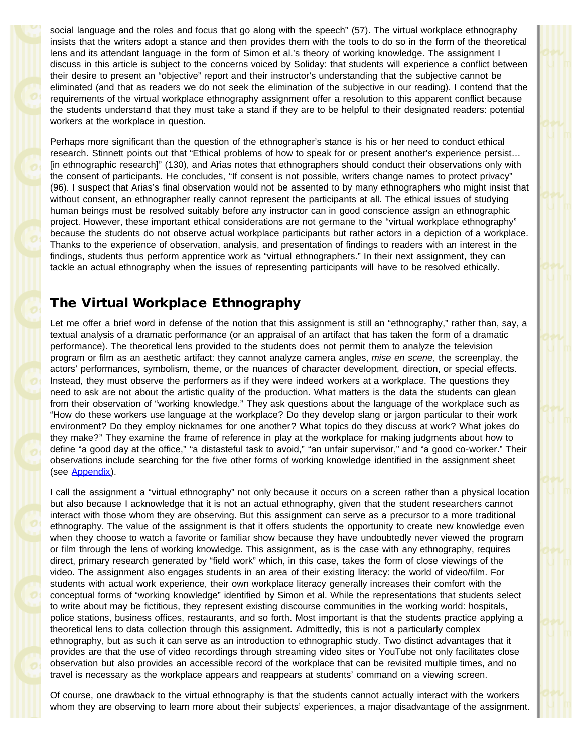social language and the roles and focus that go along with the speech" (57). The virtual workplace ethnography insists that the writers adopt a stance and then provides them with the tools to do so in the form of the theoretical lens and its attendant language in the form of Simon et al.'s theory of working knowledge. The assignment I discuss in this article is subject to the concerns voiced by Soliday: that students will experience a conflict between their desire to present an "objective" report and their instructor's understanding that the subjective cannot be eliminated (and that as readers we do not seek the elimination of the subjective in our reading). I contend that the requirements of the virtual workplace ethnography assignment offer a resolution to this apparent conflict because the students understand that they must take a stand if they are to be helpful to their designated readers: potential workers at the workplace in question.

Perhaps more significant than the question of the ethnographer's stance is his or her need to conduct ethical research. Stinnett points out that "Ethical problems of how to speak for or present another's experience persist… [in ethnographic research]" (130), and Arias notes that ethnographers should conduct their observations only with the consent of participants. He concludes, "If consent is not possible, writers change names to protect privacy" (96). I suspect that Arias's final observation would not be assented to by many ethnographers who might insist that without consent, an ethnographer really cannot represent the participants at all. The ethical issues of studying human beings must be resolved suitably before any instructor can in good conscience assign an ethnographic project. However, these important ethical considerations are not germane to the "virtual workplace ethnography" because the students do not observe actual workplace participants but rather actors in a depiction of a workplace. Thanks to the experience of observation, analysis, and presentation of findings to readers with an interest in the findings, students thus perform apprentice work as "virtual ethnographers." In their next assignment, they can tackle an actual ethnography when the issues of representing participants will have to be resolved ethically.

### The Virtual Workplace Ethnography

Let me offer a brief word in defense of the notion that this assignment is still an "ethnography," rather than, say, a textual analysis of a dramatic performance (or an appraisal of an artifact that has taken the form of a dramatic performance). The theoretical lens provided to the students does not permit them to analyze the television program or film as an aesthetic artifact: they cannot analyze camera angles, *mise en scene*, the screenplay, the actors' performances, symbolism, theme, or the nuances of character development, direction, or special effects. Instead, they must observe the performers as if they were indeed workers at a workplace. The questions they need to ask are not about the artistic quality of the production. What matters is the data the students can glean from their observation of "working knowledge." They ask questions about the language of the workplace such as "How do these workers use language at the workplace? Do they develop slang or jargon particular to their work environment? Do they employ nicknames for one another? What topics do they discuss at work? What jokes do they make?" They examine the frame of reference in play at the workplace for making judgments about how to define "a good day at the office," "a distasteful task to avoid," "an unfair supervisor," and "a good co-worker." Their observations include searching for the five other forms of working knowledge identified in the assignment sheet (see Appendix).

I call the assignment a "virtual ethnography" not only because it occurs on a screen rather than a physical location but also because I acknowledge that it is not an actual ethnography, given that the student researchers cannot interact with those whom they are observing. But this assignment can serve as a precursor to a more traditional ethnography. The value of the assignment is that it offers students the opportunity to create new knowledge even when they choose to watch a favorite or familiar show because they have undoubtedly never viewed the program or film through the lens of working knowledge. This assignment, as is the case with any ethnography, requires direct, primary research generated by "field work" which, in this case, takes the form of close viewings of the video. The assignment also engages students in an area of their existing literacy: the world of video/film. For students with actual work experience, their own workplace literacy generally increases their comfort with the conceptual forms of "working knowledge" identified by Simon et al. While the representations that students select to write about may be fictitious, they represent existing discourse communities in the working world: hospitals, police stations, business offices, restaurants, and so forth. Most important is that the students practice applying a theoretical lens to data collection through this assignment. Admittedly, this is not a particularly complex ethnography, but as such it can serve as an introduction to ethnographic study. Two distinct advantages that it provides are that the use of video recordings through streaming video sites or YouTube not only facilitates close observation but also provides an accessible record of the workplace that can be revisited multiple times, and no travel is necessary as the workplace appears and reappears at students' command on a viewing screen.

Of course, one drawback to the virtual ethnography is that the students cannot actually interact with the workers whom they are observing to learn more about their subjects' experiences, a major disadvantage of the assignment.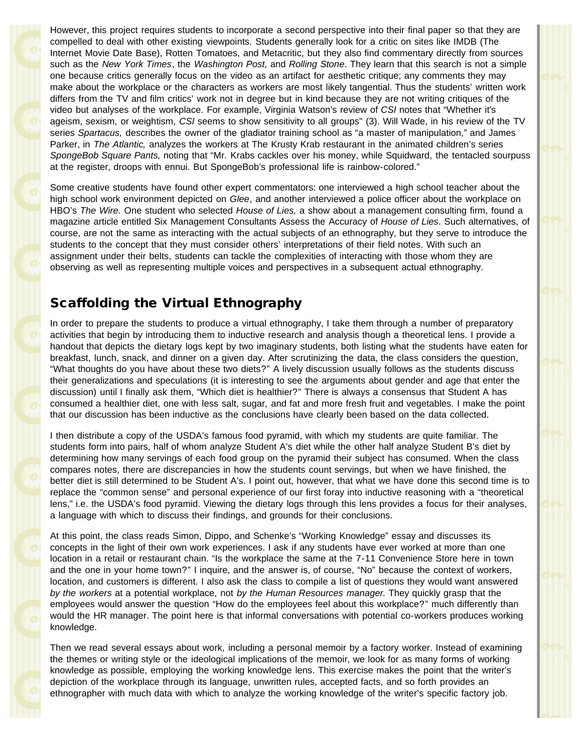However, this project requires students to incorporate a second perspective into their final paper so that they are compelled to deal with other existing viewpoints. Students generally look for a critic on sites like IMDB (The Internet Movie Date Base), Rotten Tomatoes, and Metacritic, but they also find commentary directly from sources such as the *New York Times*, the *Washington Post,* and *Rolling Stone*. They learn that this search is not a simple one because critics generally focus on the video as an artifact for aesthetic critique; any comments they may make about the workplace or the characters as workers are most likely tangential. Thus the students' written work differs from the TV and film critics' work not in degree but in kind because they are not writing critiques of the video but analyses of the workplace. For example, Virginia Watson's review of *CSI* notes that "Whether it's ageism, sexism, or weightism, *CSI* seems to show sensitivity to all groups" (3). Will Wade, in his review of the TV series *Spartacus,* describes the owner of the gladiator training school as "a master of manipulation," and James Parker, in *The Atlantic,* analyzes the workers at The Krusty Krab restaurant in the animated children's series *SpongeBob Square Pants,* noting that "Mr. Krabs cackles over his money, while Squidward, the tentacled sourpuss at the register, droops with ennui. But SpongeBob's professional life is rainbow-colored."

Some creative students have found other expert commentators: one interviewed a high school teacher about the high school work environment depicted on *Glee*, and another interviewed a police officer about the workplace on HBO's *The Wire.* One student who selected *House of Lies,* a show about a management consulting firm, found a magazine article entitled Six Management Consultants Assess the Accuracy of *House of Lies*. Such alternatives, of course, are not the same as interacting with the actual subjects of an ethnography, but they serve to introduce the students to the concept that they must consider others' interpretations of their field notes. With such an assignment under their belts, students can tackle the complexities of interacting with those whom they are observing as well as representing multiple voices and perspectives in a subsequent actual ethnography.

## Scaffolding the Virtual Ethnography

In order to prepare the students to produce a virtual ethnography, I take them through a number of preparatory activities that begin by introducing them to inductive research and analysis though a theoretical lens. I provide a handout that depicts the dietary logs kept by two imaginary students, both listing what the students have eaten for breakfast, lunch, snack, and dinner on a given day. After scrutinizing the data, the class considers the question, "What thoughts do you have about these two diets?" A lively discussion usually follows as the students discuss their generalizations and speculations (it is interesting to see the arguments about gender and age that enter the discussion) until I finally ask them, "Which diet is healthier?" There is always a consensus that Student A has consumed a healthier diet, one with less salt, sugar, and fat and more fresh fruit and vegetables. I make the point that our discussion has been inductive as the conclusions have clearly been based on the data collected.

I then distribute a copy of the USDA's famous food pyramid, with which my students are quite familiar. The students form into pairs, half of whom analyze Student A's diet while the other half analyze Student B's diet by determining how many servings of each food group on the pyramid their subject has consumed. When the class compares notes, there are discrepancies in how the students count servings, but when we have finished, the better diet is still determined to be Student A's. I point out, however, that what we have done this second time is to replace the "common sense" and personal experience of our first foray into inductive reasoning with a "theoretical lens," i.e. the USDA's food pyramid. Viewing the dietary logs through this lens provides a focus for their analyses, a language with which to discuss their findings, and grounds for their conclusions.

At this point, the class reads Simon, Dippo, and Schenke's "Working Knowledge" essay and discusses its concepts in the light of their own work experiences. I ask if any students have ever worked at more than one location in a retail or restaurant chain. "Is the workplace the same at the 7-11 Convenience Store here in town and the one in your home town?" I inquire, and the answer is, of course, "No" because the context of workers, location, and customers is different. I also ask the class to compile a list of questions they would want answered *by the workers* at a potential workplace, not *by the Human Resources manager.* They quickly grasp that the employees would answer the question "How do the employees feel about this workplace?" much differently than would the HR manager. The point here is that informal conversations with potential co-workers produces working knowledge.

Then we read several essays about work, including a personal memoir by a factory worker. Instead of examining the themes or writing style or the ideological implications of the memoir, we look for as many forms of working knowledge as possible, employing the working knowledge lens. This exercise makes the point that the writer's depiction of the workplace through its language, unwritten rules, accepted facts, and so forth provides an ethnographer with much data with which to analyze the working knowledge of the writer's specific factory job.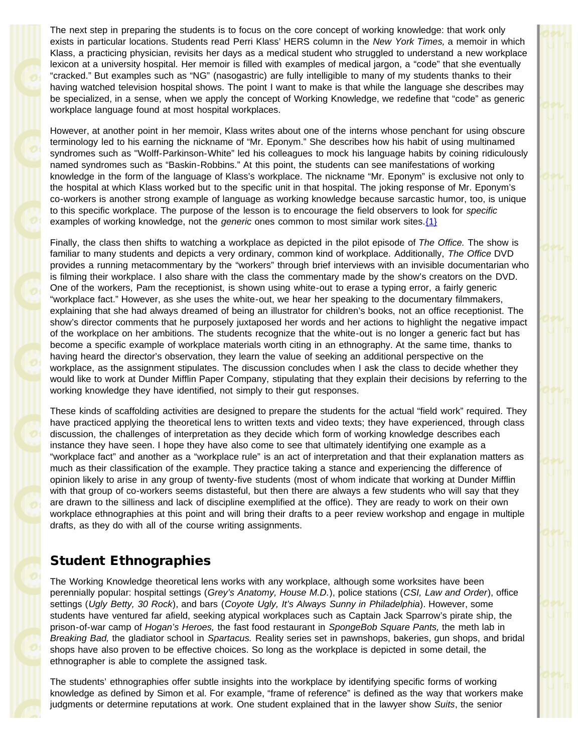The next step in preparing the students is to focus on the core concept of working knowledge: that work only exists in particular locations. Students read Perri Klass' HERS column in the *New York Times,* a memoir in which Klass, a practicing physician, revisits her days as a medical student who struggled to understand a new workplace lexicon at a university hospital. Her memoir is filled with examples of medical jargon, a "code" that she eventually "cracked." But examples such as "NG" (nasogastric) are fully intelligible to many of my students thanks to their having watched television hospital shows. The point I want to make is that while the language she describes may be specialized, in a sense, when we apply the concept of Working Knowledge, we redefine that "code" as generic workplace language found at most hospital workplaces.

However, at another point in her memoir, Klass writes about one of the interns whose penchant for using obscure terminology led to his earning the nickname of "Mr. Eponym." She describes how his habit of using multinamed syndromes such as ''Wolff-Parkinson-White" led his colleagues to mock his language habits by coining ridiculously named syndromes such as "Baskin-Robbins." At this point, the students can see manifestations of working knowledge in the form of the language of Klass's workplace. The nickname "Mr. Eponym" is exclusive not only to the hospital at which Klass worked but to the specific unit in that hospital. The joking response of Mr. Eponym's co-workers is another strong example of language as working knowledge because sarcastic humor, too, is unique to this specific workplace. The purpose of the lesson is to encourage the field observers to look for *specific* examples of working knowledge, not the *generic* ones common to most similar work sites.{1}

Finally, the class then shifts to watching a workplace as depicted in the pilot episode of *The Office.* The show is familiar to many students and depicts a very ordinary, common kind of workplace. Additionally, *The Office* DVD provides a running metacommentary by the "workers" through brief interviews with an invisible documentarian who is filming their workplace. I also share with the class the commentary made by the show's creators on the DVD. One of the workers, Pam the receptionist, is shown using white-out to erase a typing error, a fairly generic "workplace fact." However, as she uses the white-out, we hear her speaking to the documentary filmmakers, explaining that she had always dreamed of being an illustrator for children's books, not an office receptionist. The show's director comments that he purposely juxtaposed her words and her actions to highlight the negative impact of the workplace on her ambitions. The students recognize that the white-out is no longer a generic fact but has become a specific example of workplace materials worth citing in an ethnography. At the same time, thanks to having heard the director's observation, they learn the value of seeking an additional perspective on the workplace, as the assignment stipulates. The discussion concludes when I ask the class to decide whether they would like to work at Dunder Mifflin Paper Company, stipulating that they explain their decisions by referring to the working knowledge they have identified, not simply to their gut responses.

These kinds of scaffolding activities are designed to prepare the students for the actual "field work" required. They have practiced applying the theoretical lens to written texts and video texts; they have experienced, through class discussion, the challenges of interpretation as they decide which form of working knowledge describes each instance they have seen. I hope they have also come to see that ultimately identifying one example as a "workplace fact" and another as a "workplace rule" is an act of interpretation and that their explanation matters as much as their classification of the example. They practice taking a stance and experiencing the difference of opinion likely to arise in any group of twenty-five students (most of whom indicate that working at Dunder Mifflin with that group of co-workers seems distasteful, but then there are always a few students who will say that they are drawn to the silliness and lack of discipline exemplified at the office). They are ready to work on their own workplace ethnographies at this point and will bring their drafts to a peer review workshop and engage in multiple drafts, as they do with all of the course writing assignments.

### Student Ethnographies

The Working Knowledge theoretical lens works with any workplace, although some worksites have been perennially popular: hospital settings (*Grey's Anatomy, House M.D.*), police stations (*CSI, Law and Order*), office settings (*Ugly Betty, 30 Rock*), and bars (*Coyote Ugly, It's Always Sunny in Philadelphia*). However, some students have ventured far afield, seeking atypical workplaces such as Captain Jack Sparrow's pirate ship, the prison-of-war camp of *Hogan's Heroes,* the fast food restaurant in *SpongeBob Square Pants,* the meth lab in *Breaking Bad,* the gladiator school in *Spartacus.* Reality series set in pawnshops, bakeries, gun shops, and bridal shops have also proven to be effective choices. So long as the workplace is depicted in some detail, the ethnographer is able to complete the assigned task.

The students' ethnographies offer subtle insights into the workplace by identifying specific forms of working knowledge as defined by Simon et al. For example, "frame of reference" is defined as the way that workers make judgments or determine reputations at work. One student explained that in the lawyer show *Suits*, the senior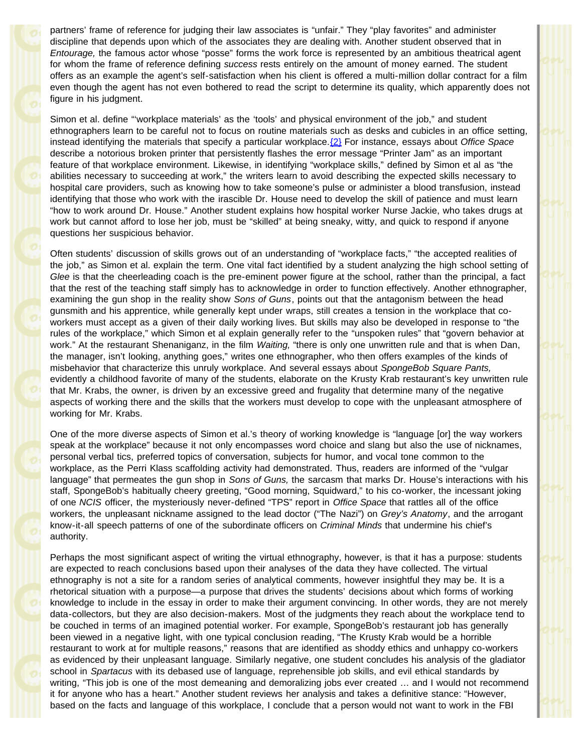partners' frame of reference for judging their law associates is "unfair." They "play favorites" and administer discipline that depends upon which of the associates they are dealing with. Another student observed that in *Entourage,* the famous actor whose "posse" forms the work force is represented by an ambitious theatrical agent for whom the frame of reference defining *success* rests entirely on the amount of money earned. The student offers as an example the agent's self-satisfaction when his client is offered a multi-million dollar contract for a film even though the agent has not even bothered to read the script to determine its quality, which apparently does not figure in his judgment.

Simon et al. define "'workplace materials' as the 'tools' and physical environment of the job," and student ethnographers learn to be careful not to focus on routine materials such as desks and cubicles in an office setting, instead identifying the materials that specify a particular workplace.{2} For instance, essays about *Office Space* describe a notorious broken printer that persistently flashes the error message "Printer Jam" as an important feature of that workplace environment. Likewise, in identifying "workplace skills," defined by Simon et al as "the abilities necessary to succeeding at work," the writers learn to avoid describing the expected skills necessary to hospital care providers, such as knowing how to take someone's pulse or administer a blood transfusion, instead identifying that those who work with the irascible Dr. House need to develop the skill of patience and must learn "how to work around Dr. House." Another student explains how hospital worker Nurse Jackie, who takes drugs at work but cannot afford to lose her job, must be "skilled" at being sneaky, witty, and quick to respond if anyone questions her suspicious behavior.

Often students' discussion of skills grows out of an understanding of "workplace facts," "the accepted realities of the job," as Simon et al. explain the term. One vital fact identified by a student analyzing the high school setting of *Glee* is that the cheerleading coach is the pre-eminent power figure at the school, rather than the principal, a fact that the rest of the teaching staff simply has to acknowledge in order to function effectively. Another ethnographer, examining the gun shop in the reality show *Sons of Guns*, points out that the antagonism between the head gunsmith and his apprentice, while generally kept under wraps, still creates a tension in the workplace that coworkers must accept as a given of their daily working lives. But skills may also be developed in response to "the rules of the workplace," which Simon et al explain generally refer to the "unspoken rules" that "govern behavior at work." At the restaurant Shenaniganz, in the film *Waiting,* "there is only one unwritten rule and that is when Dan, the manager, isn't looking, anything goes," writes one ethnographer, who then offers examples of the kinds of misbehavior that characterize this unruly workplace. And several essays about *SpongeBob Square Pants,* evidently a childhood favorite of many of the students, elaborate on the Krusty Krab restaurant's key unwritten rule that Mr. Krabs, the owner, is driven by an excessive greed and frugality that determine many of the negative aspects of working there and the skills that the workers must develop to cope with the unpleasant atmosphere of working for Mr. Krabs.

One of the more diverse aspects of Simon et al.'s theory of working knowledge is "language [or] the way workers speak at the workplace" because it not only encompasses word choice and slang but also the use of nicknames, personal verbal tics, preferred topics of conversation, subjects for humor, and vocal tone common to the workplace, as the Perri Klass scaffolding activity had demonstrated. Thus, readers are informed of the "vulgar language" that permeates the gun shop in *Sons of Guns,* the sarcasm that marks Dr. House's interactions with his staff, SpongeBob's habitually cheery greeting, "Good morning, Squidward," to his co-worker, the incessant joking of one *NCIS* officer, the mysteriously never-defined "TPS" report in *Office Space* that rattles all of the office workers, the unpleasant nickname assigned to the lead doctor ("The Nazi") on *Grey's Anatomy*, and the arrogant know-it-all speech patterns of one of the subordinate officers on *Criminal Minds* that undermine his chief's authority.

Perhaps the most significant aspect of writing the virtual ethnography, however, is that it has a purpose: students are expected to reach conclusions based upon their analyses of the data they have collected. The virtual ethnography is not a site for a random series of analytical comments, however insightful they may be. It is a rhetorical situation with a purpose—a purpose that drives the students' decisions about which forms of working knowledge to include in the essay in order to make their argument convincing. In other words, they are not merely data-collectors, but they are also decision-makers. Most of the judgments they reach about the workplace tend to be couched in terms of an imagined potential worker. For example, SpongeBob's restaurant job has generally been viewed in a negative light, with one typical conclusion reading, "The Krusty Krab would be a horrible restaurant to work at for multiple reasons," reasons that are identified as shoddy ethics and unhappy co-workers as evidenced by their unpleasant language. Similarly negative, one student concludes his analysis of the gladiator school in *Spartacus* with its debased use of language, reprehensible job skills, and evil ethical standards by writing, "This job is one of the most demeaning and demoralizing jobs ever created … and I would not recommend it for anyone who has a heart." Another student reviews her analysis and takes a definitive stance: "However, based on the facts and language of this workplace, I conclude that a person would not want to work in the FBI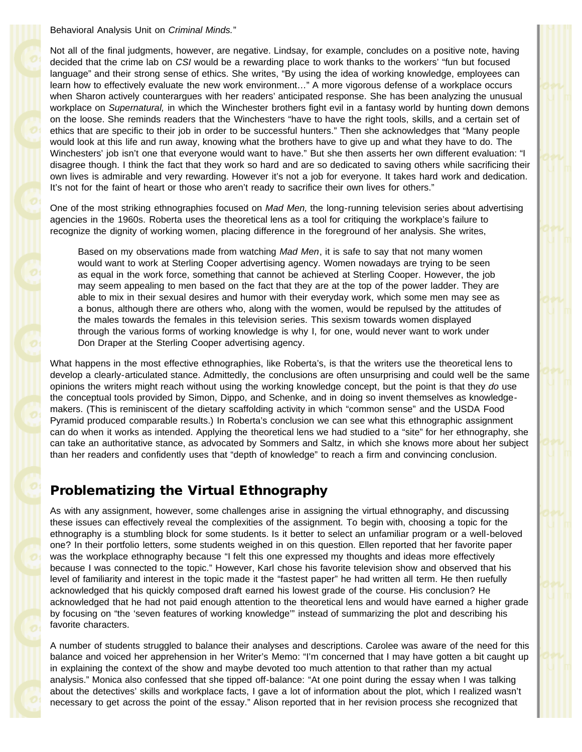Behavioral Analysis Unit on *Criminal Minds.*"

Not all of the final judgments, however, are negative. Lindsay, for example, concludes on a positive note, having decided that the crime lab on *CSI* would be a rewarding place to work thanks to the workers' "fun but focused language" and their strong sense of ethics. She writes, "By using the idea of working knowledge, employees can learn how to effectively evaluate the new work environment…" A more vigorous defense of a workplace occurs when Sharon actively counterargues with her readers' anticipated response. She has been analyzing the unusual workplace on *Supernatural,* in which the Winchester brothers fight evil in a fantasy world by hunting down demons on the loose. She reminds readers that the Winchesters "have to have the right tools, skills, and a certain set of ethics that are specific to their job in order to be successful hunters." Then she acknowledges that "Many people would look at this life and run away, knowing what the brothers have to give up and what they have to do. The Winchesters' job isn't one that everyone would want to have." But she then asserts her own different evaluation: "I disagree though. I think the fact that they work so hard and are so dedicated to saving others while sacrificing their own lives is admirable and very rewarding. However it's not a job for everyone. It takes hard work and dedication. It's not for the faint of heart or those who aren't ready to sacrifice their own lives for others."

One of the most striking ethnographies focused on *Mad Men,* the long-running television series about advertising agencies in the 1960s. Roberta uses the theoretical lens as a tool for critiquing the workplace's failure to recognize the dignity of working women, placing difference in the foreground of her analysis. She writes,

Based on my observations made from watching *Mad Men*, it is safe to say that not many women would want to work at Sterling Cooper advertising agency. Women nowadays are trying to be seen as equal in the work force, something that cannot be achieved at Sterling Cooper. However, the job may seem appealing to men based on the fact that they are at the top of the power ladder. They are able to mix in their sexual desires and humor with their everyday work, which some men may see as a bonus, although there are others who, along with the women, would be repulsed by the attitudes of the males towards the females in this television series. This sexism towards women displayed through the various forms of working knowledge is why I, for one, would never want to work under Don Draper at the Sterling Cooper advertising agency.

What happens in the most effective ethnographies, like Roberta's, is that the writers use the theoretical lens to develop a clearly-articulated stance. Admittedly, the conclusions are often unsurprising and could well be the same opinions the writers might reach without using the working knowledge concept, but the point is that they *do* use the conceptual tools provided by Simon, Dippo, and Schenke, and in doing so invent themselves as knowledgemakers. (This is reminiscent of the dietary scaffolding activity in which "common sense" and the USDA Food Pyramid produced comparable results.) In Roberta's conclusion we can see what this ethnographic assignment can do when it works as intended. Applying the theoretical lens we had studied to a "site" for her ethnography, she can take an authoritative stance, as advocated by Sommers and Saltz, in which she knows more about her subject than her readers and confidently uses that "depth of knowledge" to reach a firm and convincing conclusion.

### Problematizing the Virtual Ethnography

As with any assignment, however, some challenges arise in assigning the virtual ethnography, and discussing these issues can effectively reveal the complexities of the assignment. To begin with, choosing a topic for the ethnography is a stumbling block for some students. Is it better to select an unfamiliar program or a well-beloved one? In their portfolio letters, some students weighed in on this question. Ellen reported that her favorite paper was the workplace ethnography because "I felt this one expressed my thoughts and ideas more effectively because I was connected to the topic." However, Karl chose his favorite television show and observed that his level of familiarity and interest in the topic made it the "fastest paper" he had written all term. He then ruefully acknowledged that his quickly composed draft earned his lowest grade of the course. His conclusion? He acknowledged that he had not paid enough attention to the theoretical lens and would have earned a higher grade by focusing on "the 'seven features of working knowledge'" instead of summarizing the plot and describing his favorite characters.

A number of students struggled to balance their analyses and descriptions. Carolee was aware of the need for this balance and voiced her apprehension in her Writer's Memo: "I'm concerned that I may have gotten a bit caught up in explaining the context of the show and maybe devoted too much attention to that rather than my actual analysis." Monica also confessed that she tipped off-balance: "At one point during the essay when I was talking about the detectives' skills and workplace facts, I gave a lot of information about the plot, which I realized wasn't necessary to get across the point of the essay." Alison reported that in her revision process she recognized that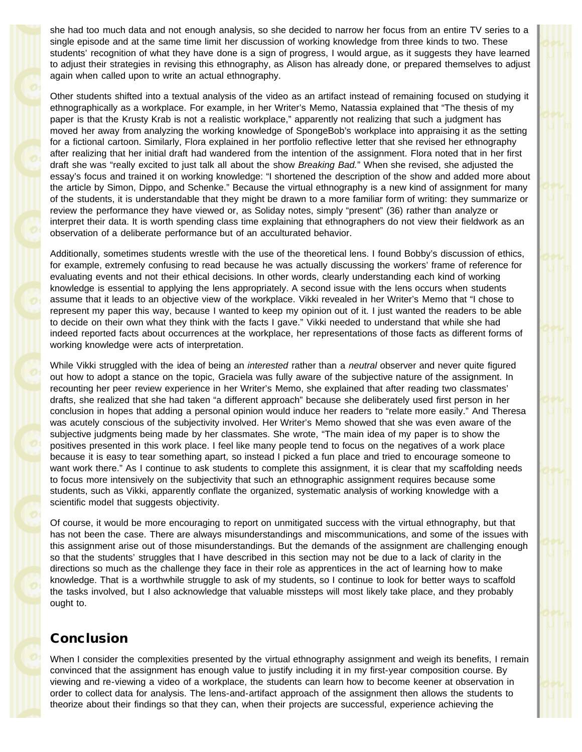she had too much data and not enough analysis, so she decided to narrow her focus from an entire TV series to a single episode and at the same time limit her discussion of working knowledge from three kinds to two. These students' recognition of what they have done is a sign of progress, I would argue, as it suggests they have learned to adjust their strategies in revising this ethnography, as Alison has already done, or prepared themselves to adjust again when called upon to write an actual ethnography.

Other students shifted into a textual analysis of the video as an artifact instead of remaining focused on studying it ethnographically as a workplace. For example, in her Writer's Memo, Natassia explained that "The thesis of my paper is that the Krusty Krab is not a realistic workplace," apparently not realizing that such a judgment has moved her away from analyzing the working knowledge of SpongeBob's workplace into appraising it as the setting for a fictional cartoon. Similarly, Flora explained in her portfolio reflective letter that she revised her ethnography after realizing that her initial draft had wandered from the intention of the assignment. Flora noted that in her first draft she was "really excited to just talk all about the show *Breaking Bad.*" When she revised, she adjusted the essay's focus and trained it on working knowledge: "I shortened the description of the show and added more about the article by Simon, Dippo, and Schenke." Because the virtual ethnography is a new kind of assignment for many of the students, it is understandable that they might be drawn to a more familiar form of writing: they summarize or review the performance they have viewed or, as Soliday notes, simply "present" (36) rather than analyze or interpret their data. It is worth spending class time explaining that ethnographers do not view their fieldwork as an observation of a deliberate performance but of an acculturated behavior.

Additionally, sometimes students wrestle with the use of the theoretical lens. I found Bobby's discussion of ethics, for example, extremely confusing to read because he was actually discussing the workers' frame of reference for evaluating events and not their ethical decisions. In other words, clearly understanding each kind of working knowledge is essential to applying the lens appropriately. A second issue with the lens occurs when students assume that it leads to an objective view of the workplace. Vikki revealed in her Writer's Memo that "I chose to represent my paper this way, because I wanted to keep my opinion out of it. I just wanted the readers to be able to decide on their own what they think with the facts I gave." Vikki needed to understand that while she had indeed reported facts about occurrences at the workplace, her representations of those facts as different forms of working knowledge were acts of interpretation.

While Vikki struggled with the idea of being an *interested* rather than a *neutral* observer and never quite figured out how to adopt a stance on the topic, Graciela was fully aware of the subjective nature of the assignment. In recounting her peer review experience in her Writer's Memo, she explained that after reading two classmates' drafts, she realized that she had taken "a different approach" because she deliberately used first person in her conclusion in hopes that adding a personal opinion would induce her readers to "relate more easily." And Theresa was acutely conscious of the subjectivity involved. Her Writer's Memo showed that she was even aware of the subjective judgments being made by her classmates. She wrote, "The main idea of my paper is to show the positives presented in this work place. I feel like many people tend to focus on the negatives of a work place because it is easy to tear something apart, so instead I picked a fun place and tried to encourage someone to want work there." As I continue to ask students to complete this assignment, it is clear that my scaffolding needs to focus more intensively on the subjectivity that such an ethnographic assignment requires because some students, such as Vikki, apparently conflate the organized, systematic analysis of working knowledge with a scientific model that suggests objectivity.

Of course, it would be more encouraging to report on unmitigated success with the virtual ethnography, but that has not been the case. There are always misunderstandings and miscommunications, and some of the issues with this assignment arise out of those misunderstandings. But the demands of the assignment are challenging enough so that the students' struggles that I have described in this section may not be due to a lack of clarity in the directions so much as the challenge they face in their role as apprentices in the act of learning how to make knowledge. That is a worthwhile struggle to ask of my students, so I continue to look for better ways to scaffold the tasks involved, but I also acknowledge that valuable missteps will most likely take place, and they probably ought to.

## Conclusion

When I consider the complexities presented by the virtual ethnography assignment and weigh its benefits, I remain convinced that the assignment has enough value to justify including it in my first-year composition course. By viewing and re-viewing a video of a workplace, the students can learn how to become keener at observation in order to collect data for analysis. The lens-and-artifact approach of the assignment then allows the students to theorize about their findings so that they can, when their projects are successful, experience achieving the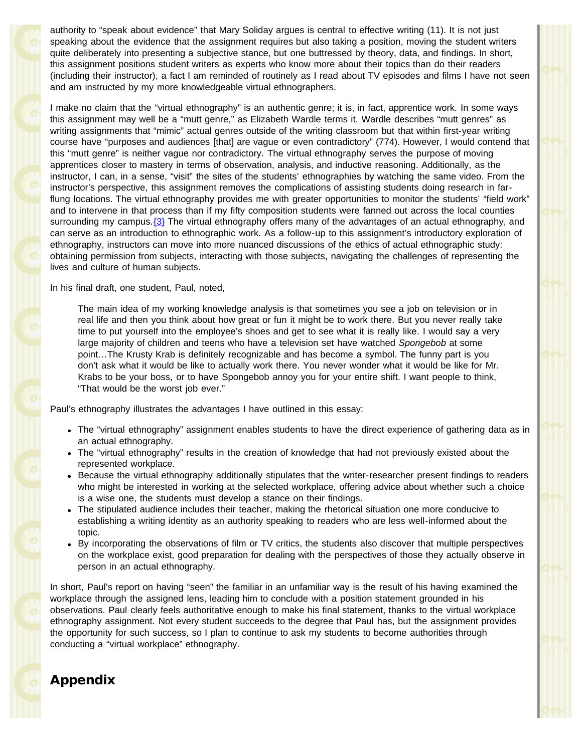authority to "speak about evidence" that Mary Soliday argues is central to effective writing (11). It is not just speaking about the evidence that the assignment requires but also taking a position, moving the student writers quite deliberately into presenting a subjective stance, but one buttressed by theory, data, and findings. In short, this assignment positions student writers as experts who know more about their topics than do their readers (including their instructor), a fact I am reminded of routinely as I read about TV episodes and films I have not seen and am instructed by my more knowledgeable virtual ethnographers.

I make no claim that the "virtual ethnography" is an authentic genre; it is, in fact, apprentice work. In some ways this assignment may well be a "mutt genre," as Elizabeth Wardle terms it. Wardle describes "mutt genres" as writing assignments that "mimic" actual genres outside of the writing classroom but that within first-year writing course have "purposes and audiences [that] are vague or even contradictory" (774). However, I would contend that this "mutt genre" is neither vague nor contradictory. The virtual ethnography serves the purpose of moving apprentices closer to mastery in terms of observation, analysis, and inductive reasoning. Additionally, as the instructor, I can, in a sense, "visit" the sites of the students' ethnographies by watching the same video. From the instructor's perspective, this assignment removes the complications of assisting students doing research in farflung locations. The virtual ethnography provides me with greater opportunities to monitor the students' "field work" and to intervene in that process than if my fifty composition students were fanned out across the local counties surrounding my campus.  $\{3\}$  The virtual ethnography offers many of the advantages of an actual ethnography, and can serve as an introduction to ethnographic work. As a follow-up to this assignment's introductory exploration of ethnography, instructors can move into more nuanced discussions of the ethics of actual ethnographic study: obtaining permission from subjects, interacting with those subjects, navigating the challenges of representing the lives and culture of human subjects.

In his final draft, one student, Paul, noted,

The main idea of my working knowledge analysis is that sometimes you see a job on television or in real life and then you think about how great or fun it might be to work there. But you never really take time to put yourself into the employee's shoes and get to see what it is really like. I would say a very large majority of children and teens who have a television set have watched *Spongebob* at some point…The Krusty Krab is definitely recognizable and has become a symbol. The funny part is you don't ask what it would be like to actually work there. You never wonder what it would be like for Mr. Krabs to be your boss, or to have Spongebob annoy you for your entire shift. I want people to think, "That would be the worst job ever."

Paul's ethnography illustrates the advantages I have outlined in this essay:

- The "virtual ethnography" assignment enables students to have the direct experience of gathering data as in an actual ethnography.
- The "virtual ethnography" results in the creation of knowledge that had not previously existed about the represented workplace.
- Because the virtual ethnography additionally stipulates that the writer-researcher present findings to readers who might be interested in working at the selected workplace, offering advice about whether such a choice is a wise one, the students must develop a stance on their findings.
- The stipulated audience includes their teacher, making the rhetorical situation one more conducive to establishing a writing identity as an authority speaking to readers who are less well-informed about the topic.
- By incorporating the observations of film or TV critics, the students also discover that multiple perspectives on the workplace exist, good preparation for dealing with the perspectives of those they actually observe in person in an actual ethnography.

In short, Paul's report on having "seen" the familiar in an unfamiliar way is the result of his having examined the workplace through the assigned lens, leading him to conclude with a position statement grounded in his observations. Paul clearly feels authoritative enough to make his final statement, thanks to the virtual workplace ethnography assignment. Not every student succeeds to the degree that Paul has, but the assignment provides the opportunity for such success, so I plan to continue to ask my students to become authorities through conducting a "virtual workplace" ethnography.

## Appendix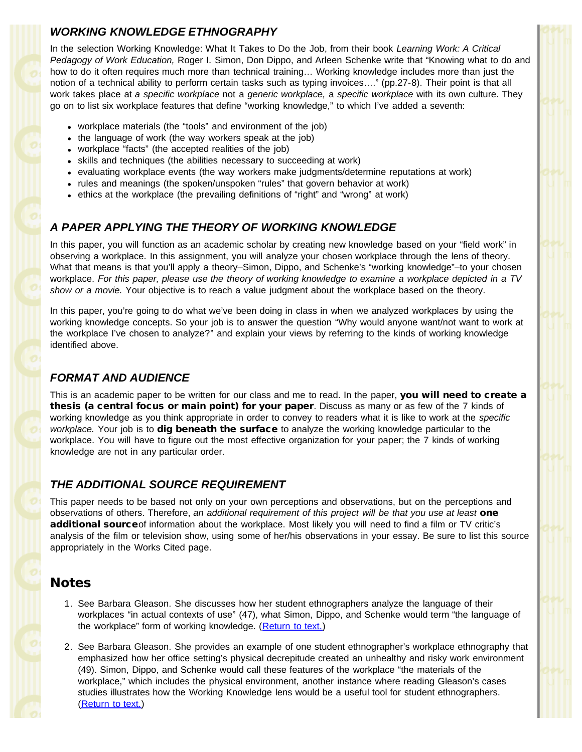### *WORKING KNOWLEDGE ETHNOGRAPHY*

In the selection Working Knowledge: What It Takes to Do the Job, from their book *Learning Work: A Critical Pedagogy of Work Education,* Roger I. Simon, Don Dippo, and Arleen Schenke write that "Knowing what to do and how to do it often requires much more than technical training… Working knowledge includes more than just the notion of a technical ability to perform certain tasks such as typing invoices…." (pp.27-8). Their point is that all work takes place at *a specific workplace* not a *generic workplace,* a *specific workplace* with its own culture. They go on to list six workplace features that define "working knowledge," to which I've added a seventh:

- workplace materials (the "tools" and environment of the job)
- the language of work (the way workers speak at the job)
- workplace "facts" (the accepted realities of the job)
- skills and techniques (the abilities necessary to succeeding at work)
- evaluating workplace events (the way workers make judgments/determine reputations at work)
- rules and meanings (the spoken/unspoken "rules" that govern behavior at work)
- ethics at the workplace (the prevailing definitions of "right" and "wrong" at work)

#### *A PAPER APPLYING THE THEORY OF WORKING KNOWLEDGE*

In this paper, you will function as an academic scholar by creating new knowledge based on your "field work" in observing a workplace. In this assignment, you will analyze your chosen workplace through the lens of theory. What that means is that you'll apply a theory–Simon, Dippo, and Schenke's "working knowledge"–to your chosen workplace. *For this paper, please use the theory of working knowledge to examine a workplace depicted in a TV show or a movie.* Your objective is to reach a value judgment about the workplace based on the theory.

In this paper, you're going to do what we've been doing in class in when we analyzed workplaces by using the working knowledge concepts. So your job is to answer the question "Why would anyone want/not want to work at the workplace I've chosen to analyze?" and explain your views by referring to the kinds of working knowledge identified above.

#### *FORMAT AND AUDIENCE*

This is an academic paper to be written for our class and me to read. In the paper, **you will need to create a** thesis (a central focus or main point) for your paper. Discuss as many or as few of the 7 kinds of working knowledge as you think appropriate in order to convey to readers what it is like to work at the *specific workplace.* Your job is to dig beneath the surface to analyze the working knowledge particular to the workplace. You will have to figure out the most effective organization for your paper; the 7 kinds of working knowledge are not in any particular order.

### *THE ADDITIONAL SOURCE REQUIREMENT*

This paper needs to be based not only on your own perceptions and observations, but on the perceptions and observations of others. Therefore, *an additional requirement of this project will be that you use at least* one additional sourceof information about the workplace. Most likely you will need to find a film or TV critic's analysis of the film or television show, using some of her/his observations in your essay. Be sure to list this source appropriately in the Works Cited page.

## Notes

- 1. See Barbara Gleason. She discusses how her student ethnographers analyze the language of their workplaces "in actual contexts of use" (47), what Simon, Dippo, and Schenke would term "the language of the workplace" form of working knowledge. (Return to text.)
- 2. See Barbara Gleason. She provides an example of one student ethnographer's workplace ethnography that emphasized how her office setting's physical decrepitude created an unhealthy and risky work environment (49). Simon, Dippo, and Schenke would call these features of the workplace "the materials of the workplace," which includes the physical environment, another instance where reading Gleason's cases studies illustrates how the Working Knowledge lens would be a useful tool for student ethnographers. (Return to text.)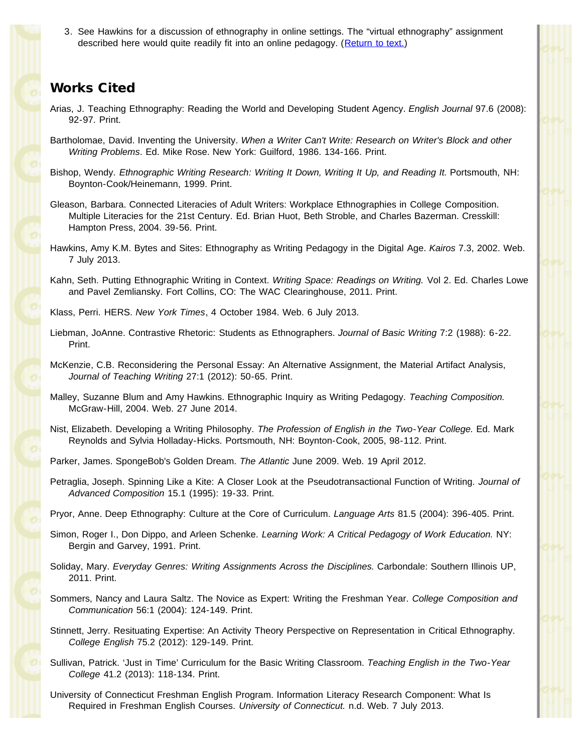3. See Hawkins for a discussion of ethnography in online settings. The "virtual ethnography" assignment described here would quite readily fit into an online pedagogy. (Return to text.)

### Works Cited

- Arias, J. Teaching Ethnography: Reading the World and Developing Student Agency. *English Journal* 97.6 (2008): 92-97. Print.
- Bartholomae, David. Inventing the University. *When a Writer Can't Write: Research on Writer's Block and other Writing Problems*. Ed. Mike Rose. New York: Guilford, 1986. 134-166. Print.
- Bishop, Wendy. *Ethnographic Writing Research: Writing It Down, Writing It Up, and Reading It.* Portsmouth, NH: Boynton-Cook/Heinemann, 1999. Print.
- Gleason, Barbara. Connected Literacies of Adult Writers: Workplace Ethnographies in College Composition. Multiple Literacies for the 21st Century. Ed. Brian Huot, Beth Stroble, and Charles Bazerman. Cresskill: Hampton Press, 2004. 39-56. Print.
- Hawkins, Amy K.M. Bytes and Sites: Ethnography as Writing Pedagogy in the Digital Age. *Kairos* 7.3, 2002. Web. 7 July 2013.

Kahn, Seth. Putting Ethnographic Writing in Context. *Writing Space: Readings on Writing.* Vol 2. Ed. Charles Lowe and Pavel Zemliansky. Fort Collins, CO: The WAC Clearinghouse, 2011. Print.

Klass, Perri. HERS. *New York Times*, 4 October 1984. Web. 6 July 2013.

- Liebman, JoAnne. Contrastive Rhetoric: Students as Ethnographers. *Journal of Basic Writing* 7:2 (1988): 6-22. Print.
- McKenzie, C.B. Reconsidering the Personal Essay: An Alternative Assignment, the Material Artifact Analysis, *Journal of Teaching Writing* 27:1 (2012): 50-65. Print.
- Malley, Suzanne Blum and Amy Hawkins. Ethnographic Inquiry as Writing Pedagogy. *Teaching Composition.* McGraw-Hill, 2004. Web. 27 June 2014.
- Nist, Elizabeth. Developing a Writing Philosophy. *The Profession of English in the Two-Year College.* Ed. Mark Reynolds and Sylvia Holladay-Hicks. Portsmouth, NH: Boynton-Cook, 2005, 98-112. Print.
- Parker, James. SpongeBob's Golden Dream. *The Atlantic* June 2009. Web. 19 April 2012.
- Petraglia, Joseph. Spinning Like a Kite: A Closer Look at the Pseudotransactional Function of Writing. *Journal of Advanced Composition* 15.1 (1995): 19-33. Print.
- Pryor, Anne. Deep Ethnography: Culture at the Core of Curriculum. *Language Arts* 81.5 (2004): 396-405. Print.
- Simon, Roger I., Don Dippo, and Arleen Schenke. *Learning Work: A Critical Pedagogy of Work Education.* NY: Bergin and Garvey, 1991. Print.
- Soliday, Mary. *Everyday Genres: Writing Assignments Across the Disciplines.* Carbondale: Southern Illinois UP, 2011. Print.
- Sommers, Nancy and Laura Saltz. The Novice as Expert: Writing the Freshman Year. *College Composition and Communication* 56:1 (2004): 124-149. Print.
- Stinnett, Jerry. Resituating Expertise: An Activity Theory Perspective on Representation in Critical Ethnography. *College English* 75.2 (2012): 129-149. Print.
- Sullivan, Patrick. 'Just in Time' Curriculum for the Basic Writing Classroom. *Teaching English in the Two-Year College* 41.2 (2013): 118-134. Print.
- University of Connecticut Freshman English Program. Information Literacy Research Component: What Is Required in Freshman English Courses. *University of Connecticut.* n.d. Web. 7 July 2013.